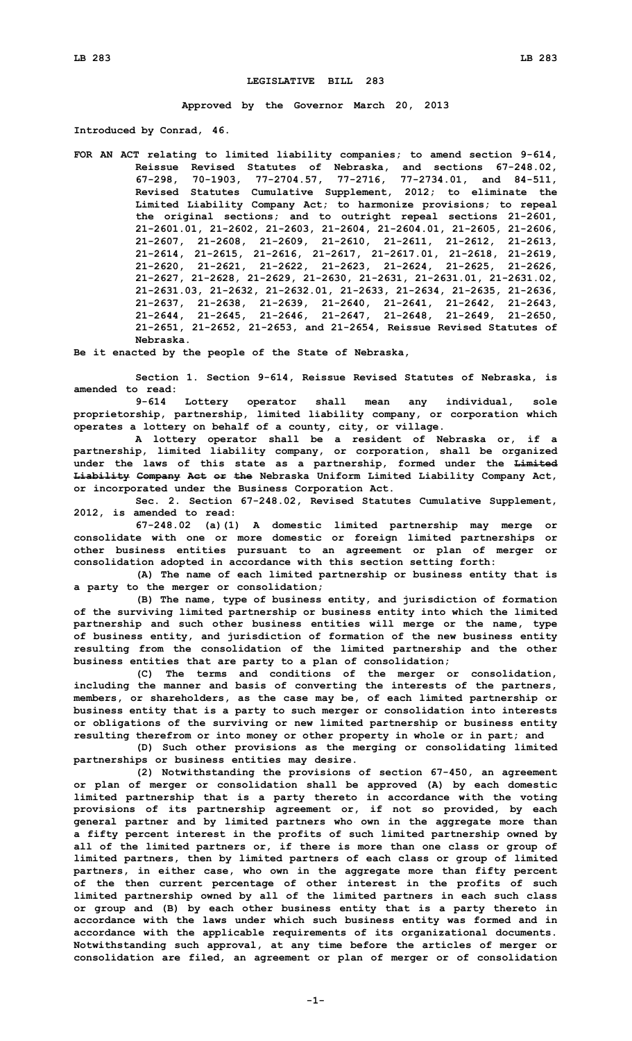## **LEGISLATIVE BILL 283**

**Approved by the Governor March 20, 2013**

**Introduced by Conrad, 46.**

**FOR AN ACT relating to limited liability companies; to amend section 9-614, Reissue Revised Statutes of Nebraska, and sections 67-248.02, 67-298, 70-1903, 77-2704.57, 77-2716, 77-2734.01, and 84-511, Revised Statutes Cumulative Supplement, 2012; to eliminate the Limited Liability Company Act; to harmonize provisions; to repeal the original sections; and to outright repeal sections 21-2601, 21-2601.01, 21-2602, 21-2603, 21-2604, 21-2604.01, 21-2605, 21-2606, 21-2607, 21-2608, 21-2609, 21-2610, 21-2611, 21-2612, 21-2613, 21-2614, 21-2615, 21-2616, 21-2617, 21-2617.01, 21-2618, 21-2619, 21-2620, 21-2621, 21-2622, 21-2623, 21-2624, 21-2625, 21-2626, 21-2627, 21-2628, 21-2629, 21-2630, 21-2631, 21-2631.01, 21-2631.02, 21-2631.03, 21-2632, 21-2632.01, 21-2633, 21-2634, 21-2635, 21-2636, 21-2637, 21-2638, 21-2639, 21-2640, 21-2641, 21-2642, 21-2643, 21-2644, 21-2645, 21-2646, 21-2647, 21-2648, 21-2649, 21-2650, 21-2651, 21-2652, 21-2653, and 21-2654, Reissue Revised Statutes of Nebraska.**

**Be it enacted by the people of the State of Nebraska,**

**Section 1. Section 9-614, Reissue Revised Statutes of Nebraska, is amended to read:**

**9-614 Lottery operator shall mean any individual, sole proprietorship, partnership, limited liability company, or corporation which operates <sup>a</sup> lottery on behalf of <sup>a</sup> county, city, or village.**

**A lottery operator shall be <sup>a</sup> resident of Nebraska or, if <sup>a</sup> partnership, limited liability company, or corporation, shall be organized under the laws of this state as <sup>a</sup> partnership, formed under the Limited Liability Company Act or the Nebraska Uniform Limited Liability Company Act, or incorporated under the Business Corporation Act.**

**Sec. 2. Section 67-248.02, Revised Statutes Cumulative Supplement, 2012, is amended to read:**

**67-248.02 (a)(1) <sup>A</sup> domestic limited partnership may merge or consolidate with one or more domestic or foreign limited partnerships or other business entities pursuant to an agreement or plan of merger or consolidation adopted in accordance with this section setting forth:**

**(A) The name of each limited partnership or business entity that is <sup>a</sup> party to the merger or consolidation;**

**(B) The name, type of business entity, and jurisdiction of formation of the surviving limited partnership or business entity into which the limited partnership and such other business entities will merge or the name, type of business entity, and jurisdiction of formation of the new business entity resulting from the consolidation of the limited partnership and the other business entities that are party to <sup>a</sup> plan of consolidation;**

**(C) The terms and conditions of the merger or consolidation, including the manner and basis of converting the interests of the partners, members, or shareholders, as the case may be, of each limited partnership or business entity that is <sup>a</sup> party to such merger or consolidation into interests or obligations of the surviving or new limited partnership or business entity resulting therefrom or into money or other property in whole or in part; and**

**(D) Such other provisions as the merging or consolidating limited partnerships or business entities may desire.**

**(2) Notwithstanding the provisions of section 67-450, an agreement or plan of merger or consolidation shall be approved (A) by each domestic limited partnership that is <sup>a</sup> party thereto in accordance with the voting provisions of its partnership agreement or, if not so provided, by each general partner and by limited partners who own in the aggregate more than <sup>a</sup> fifty percent interest in the profits of such limited partnership owned by all of the limited partners or, if there is more than one class or group of limited partners, then by limited partners of each class or group of limited partners, in either case, who own in the aggregate more than fifty percent of the then current percentage of other interest in the profits of such limited partnership owned by all of the limited partners in each such class or group and (B) by each other business entity that is <sup>a</sup> party thereto in accordance with the laws under which such business entity was formed and in accordance with the applicable requirements of its organizational documents. Notwithstanding such approval, at any time before the articles of merger or consolidation are filed, an agreement or plan of merger or of consolidation**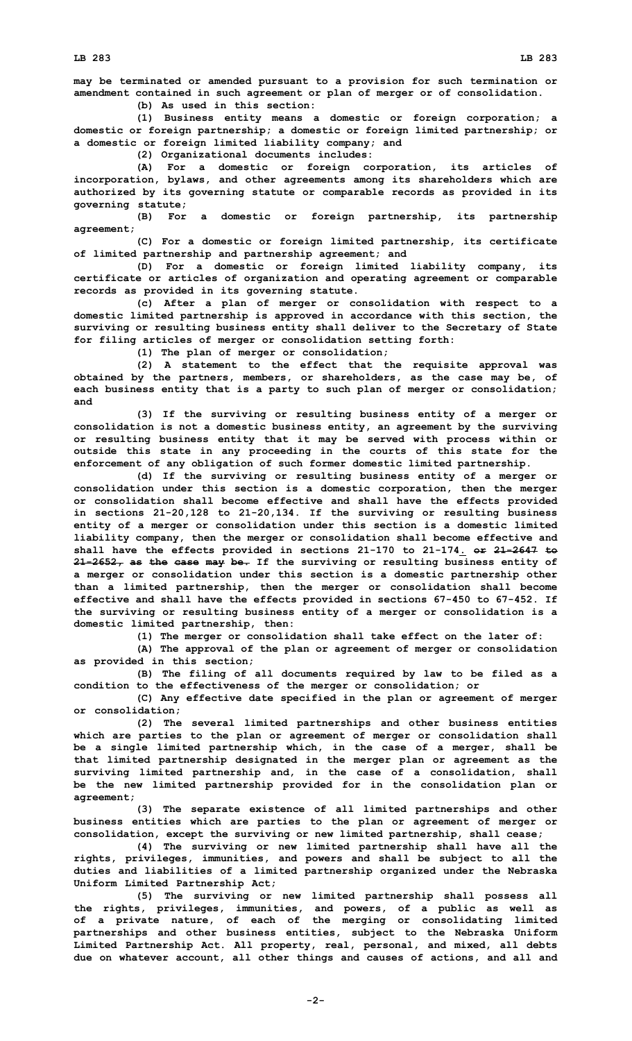**may be terminated or amended pursuant to <sup>a</sup> provision for such termination or amendment contained in such agreement or plan of merger or of consolidation. (b) As used in this section:**

**(1) Business entity means <sup>a</sup> domestic or foreign corporation; <sup>a</sup> domestic or foreign partnership; <sup>a</sup> domestic or foreign limited partnership; or <sup>a</sup> domestic or foreign limited liability company; and**

**(2) Organizational documents includes:**

**(A) For <sup>a</sup> domestic or foreign corporation, its articles of incorporation, bylaws, and other agreements among its shareholders which are authorized by its governing statute or comparable records as provided in its governing statute;**

**(B) For <sup>a</sup> domestic or foreign partnership, its partnership agreement;**

**(C) For <sup>a</sup> domestic or foreign limited partnership, its certificate of limited partnership and partnership agreement; and**

**(D) For <sup>a</sup> domestic or foreign limited liability company, its certificate or articles of organization and operating agreement or comparable records as provided in its governing statute.**

**(c) After <sup>a</sup> plan of merger or consolidation with respect to <sup>a</sup> domestic limited partnership is approved in accordance with this section, the surviving or resulting business entity shall deliver to the Secretary of State for filing articles of merger or consolidation setting forth:**

**(1) The plan of merger or consolidation;**

**(2) <sup>A</sup> statement to the effect that the requisite approval was obtained by the partners, members, or shareholders, as the case may be, of each business entity that is <sup>a</sup> party to such plan of merger or consolidation; and**

**(3) If the surviving or resulting business entity of <sup>a</sup> merger or consolidation is not <sup>a</sup> domestic business entity, an agreement by the surviving or resulting business entity that it may be served with process within or outside this state in any proceeding in the courts of this state for the enforcement of any obligation of such former domestic limited partnership.**

**(d) If the surviving or resulting business entity of <sup>a</sup> merger or consolidation under this section is <sup>a</sup> domestic corporation, then the merger or consolidation shall become effective and shall have the effects provided in sections 21-20,128 to 21-20,134. If the surviving or resulting business entity of <sup>a</sup> merger or consolidation under this section is <sup>a</sup> domestic limited liability company, then the merger or consolidation shall become effective and shall have the effects provided in sections 21-170 to 21-174. or 21-2647 to 21-2652, as the case may be. If the surviving or resulting business entity of <sup>a</sup> merger or consolidation under this section is <sup>a</sup> domestic partnership other than <sup>a</sup> limited partnership, then the merger or consolidation shall become effective and shall have the effects provided in sections 67-450 to 67-452. If the surviving or resulting business entity of <sup>a</sup> merger or consolidation is <sup>a</sup> domestic limited partnership, then:**

**(1) The merger or consolidation shall take effect on the later of:**

**(A) The approval of the plan or agreement of merger or consolidation as provided in this section;**

**(B) The filing of all documents required by law to be filed as <sup>a</sup> condition to the effectiveness of the merger or consolidation; or**

**(C) Any effective date specified in the plan or agreement of merger or consolidation;**

**(2) The several limited partnerships and other business entities which are parties to the plan or agreement of merger or consolidation shall be <sup>a</sup> single limited partnership which, in the case of <sup>a</sup> merger, shall be that limited partnership designated in the merger plan or agreement as the surviving limited partnership and, in the case of <sup>a</sup> consolidation, shall be the new limited partnership provided for in the consolidation plan or agreement;**

**(3) The separate existence of all limited partnerships and other business entities which are parties to the plan or agreement of merger or consolidation, except the surviving or new limited partnership, shall cease;**

**(4) The surviving or new limited partnership shall have all the rights, privileges, immunities, and powers and shall be subject to all the duties and liabilities of <sup>a</sup> limited partnership organized under the Nebraska Uniform Limited Partnership Act;**

**(5) The surviving or new limited partnership shall possess all the rights, privileges, immunities, and powers, of <sup>a</sup> public as well as of <sup>a</sup> private nature, of each of the merging or consolidating limited partnerships and other business entities, subject to the Nebraska Uniform Limited Partnership Act. All property, real, personal, and mixed, all debts due on whatever account, all other things and causes of actions, and all and**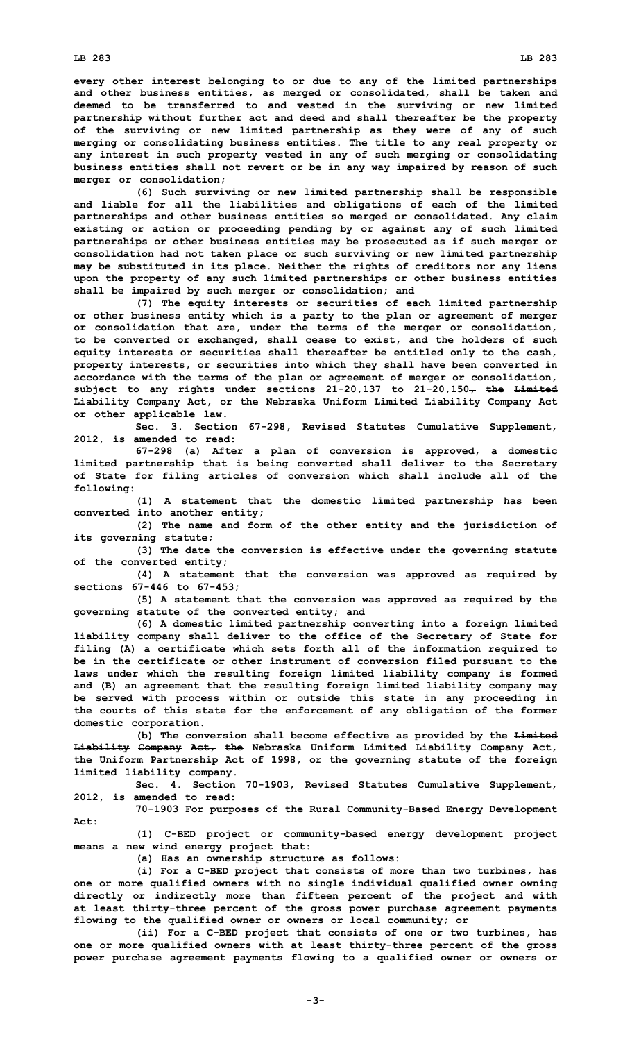**every other interest belonging to or due to any of the limited partnerships and other business entities, as merged or consolidated, shall be taken and deemed to be transferred to and vested in the surviving or new limited partnership without further act and deed and shall thereafter be the property of the surviving or new limited partnership as they were of any of such merging or consolidating business entities. The title to any real property or any interest in such property vested in any of such merging or consolidating business entities shall not revert or be in any way impaired by reason of such merger or consolidation;**

**(6) Such surviving or new limited partnership shall be responsible and liable for all the liabilities and obligations of each of the limited partnerships and other business entities so merged or consolidated. Any claim existing or action or proceeding pending by or against any of such limited partnerships or other business entities may be prosecuted as if such merger or consolidation had not taken place or such surviving or new limited partnership may be substituted in its place. Neither the rights of creditors nor any liens upon the property of any such limited partnerships or other business entities shall be impaired by such merger or consolidation; and**

**(7) The equity interests or securities of each limited partnership or other business entity which is <sup>a</sup> party to the plan or agreement of merger or consolidation that are, under the terms of the merger or consolidation, to be converted or exchanged, shall cease to exist, and the holders of such equity interests or securities shall thereafter be entitled only to the cash, property interests, or securities into which they shall have been converted in accordance with the terms of the plan or agreement of merger or consolidation, subject to any rights under sections 21-20,137 to 21-20,150, the Limited Liability Company Act, or the Nebraska Uniform Limited Liability Company Act or other applicable law.**

**Sec. 3. Section 67-298, Revised Statutes Cumulative Supplement, 2012, is amended to read:**

**67-298 (a) After <sup>a</sup> plan of conversion is approved, <sup>a</sup> domestic limited partnership that is being converted shall deliver to the Secretary of State for filing articles of conversion which shall include all of the following:**

**(1) <sup>A</sup> statement that the domestic limited partnership has been converted into another entity;**

**(2) The name and form of the other entity and the jurisdiction of its governing statute;**

**(3) The date the conversion is effective under the governing statute of the converted entity;**

**(4) <sup>A</sup> statement that the conversion was approved as required by sections 67-446 to 67-453;**

**(5) <sup>A</sup> statement that the conversion was approved as required by the governing statute of the converted entity; and**

**(6) <sup>A</sup> domestic limited partnership converting into <sup>a</sup> foreign limited liability company shall deliver to the office of the Secretary of State for filing (A) <sup>a</sup> certificate which sets forth all of the information required to be in the certificate or other instrument of conversion filed pursuant to the laws under which the resulting foreign limited liability company is formed and (B) an agreement that the resulting foreign limited liability company may be served with process within or outside this state in any proceeding in the courts of this state for the enforcement of any obligation of the former domestic corporation.**

**(b) The conversion shall become effective as provided by the Limited Liability Company Act, the Nebraska Uniform Limited Liability Company Act, the Uniform Partnership Act of 1998, or the governing statute of the foreign limited liability company.**

**Sec. 4. Section 70-1903, Revised Statutes Cumulative Supplement, 2012, is amended to read:**

**70-1903 For purposes of the Rural Community-Based Energy Development Act:**

**(1) C-BED project or community-based energy development project means <sup>a</sup> new wind energy project that:**

**(a) Has an ownership structure as follows:**

**(i) For <sup>a</sup> C-BED project that consists of more than two turbines, has one or more qualified owners with no single individual qualified owner owning directly or indirectly more than fifteen percent of the project and with at least thirty-three percent of the gross power purchase agreement payments flowing to the qualified owner or owners or local community; or**

**(ii) For <sup>a</sup> C-BED project that consists of one or two turbines, has one or more qualified owners with at least thirty-three percent of the gross power purchase agreement payments flowing to <sup>a</sup> qualified owner or owners or**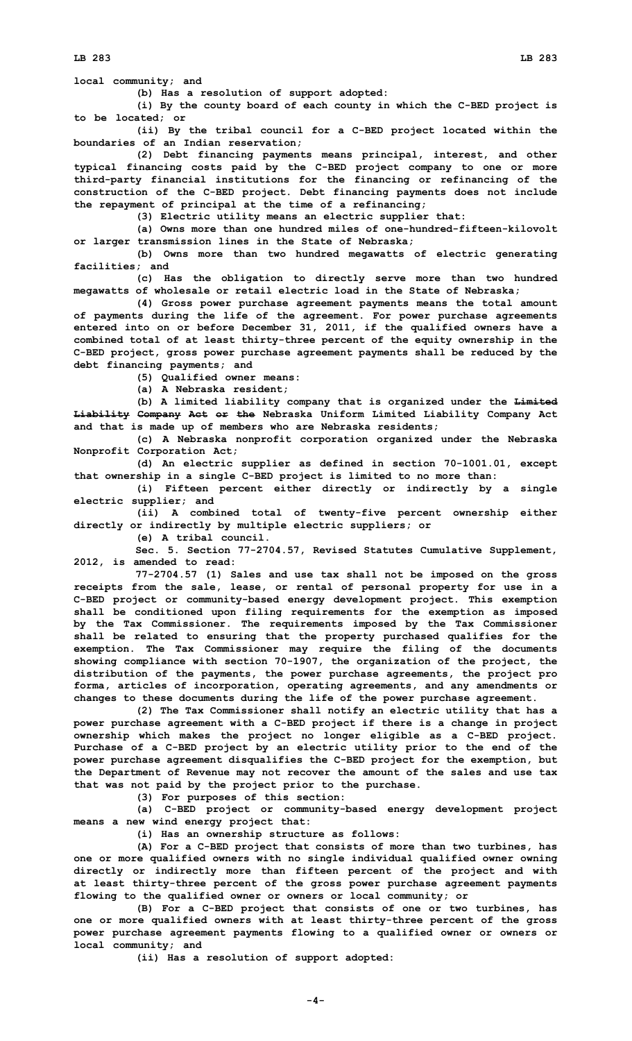**(b) Has <sup>a</sup> resolution of support adopted:**

**(i) By the county board of each county in which the C-BED project is to be located; or**

**(ii) By the tribal council for <sup>a</sup> C-BED project located within the boundaries of an Indian reservation;**

**(2) Debt financing payments means principal, interest, and other typical financing costs paid by the C-BED project company to one or more third-party financial institutions for the financing or refinancing of the construction of the C-BED project. Debt financing payments does not include the repayment of principal at the time of <sup>a</sup> refinancing;**

**(3) Electric utility means an electric supplier that:**

**(a) Owns more than one hundred miles of one-hundred-fifteen-kilovolt or larger transmission lines in the State of Nebraska;**

**(b) Owns more than two hundred megawatts of electric generating facilities; and**

**(c) Has the obligation to directly serve more than two hundred megawatts of wholesale or retail electric load in the State of Nebraska;**

**(4) Gross power purchase agreement payments means the total amount of payments during the life of the agreement. For power purchase agreements entered into on or before December 31, 2011, if the qualified owners have <sup>a</sup> combined total of at least thirty-three percent of the equity ownership in the C-BED project, gross power purchase agreement payments shall be reduced by the debt financing payments; and**

**(5) Qualified owner means:**

**(a) A Nebraska resident;**

**(b) <sup>A</sup> limited liability company that is organized under the Limited Liability Company Act or the Nebraska Uniform Limited Liability Company Act and that is made up of members who are Nebraska residents;**

**(c) <sup>A</sup> Nebraska nonprofit corporation organized under the Nebraska Nonprofit Corporation Act;**

**(d) An electric supplier as defined in section 70-1001.01, except that ownership in <sup>a</sup> single C-BED project is limited to no more than:**

**(i) Fifteen percent either directly or indirectly by <sup>a</sup> single electric supplier; and**

**(ii) <sup>A</sup> combined total of twenty-five percent ownership either directly or indirectly by multiple electric suppliers; or**

**(e) A tribal council.**

**Sec. 5. Section 77-2704.57, Revised Statutes Cumulative Supplement, 2012, is amended to read:**

**77-2704.57 (1) Sales and use tax shall not be imposed on the gross receipts from the sale, lease, or rental of personal property for use in <sup>a</sup> C-BED project or community-based energy development project. This exemption shall be conditioned upon filing requirements for the exemption as imposed by the Tax Commissioner. The requirements imposed by the Tax Commissioner shall be related to ensuring that the property purchased qualifies for the exemption. The Tax Commissioner may require the filing of the documents showing compliance with section 70-1907, the organization of the project, the distribution of the payments, the power purchase agreements, the project pro forma, articles of incorporation, operating agreements, and any amendments or changes to these documents during the life of the power purchase agreement.**

**(2) The Tax Commissioner shall notify an electric utility that has <sup>a</sup> power purchase agreement with <sup>a</sup> C-BED project if there is <sup>a</sup> change in project ownership which makes the project no longer eligible as <sup>a</sup> C-BED project. Purchase of <sup>a</sup> C-BED project by an electric utility prior to the end of the power purchase agreement disqualifies the C-BED project for the exemption, but the Department of Revenue may not recover the amount of the sales and use tax that was not paid by the project prior to the purchase.**

**(3) For purposes of this section:**

**(a) C-BED project or community-based energy development project means <sup>a</sup> new wind energy project that:**

**(i) Has an ownership structure as follows:**

**(A) For <sup>a</sup> C-BED project that consists of more than two turbines, has one or more qualified owners with no single individual qualified owner owning directly or indirectly more than fifteen percent of the project and with at least thirty-three percent of the gross power purchase agreement payments flowing to the qualified owner or owners or local community; or**

**(B) For <sup>a</sup> C-BED project that consists of one or two turbines, has one or more qualified owners with at least thirty-three percent of the gross power purchase agreement payments flowing to <sup>a</sup> qualified owner or owners or local community; and**

**(ii) Has <sup>a</sup> resolution of support adopted:**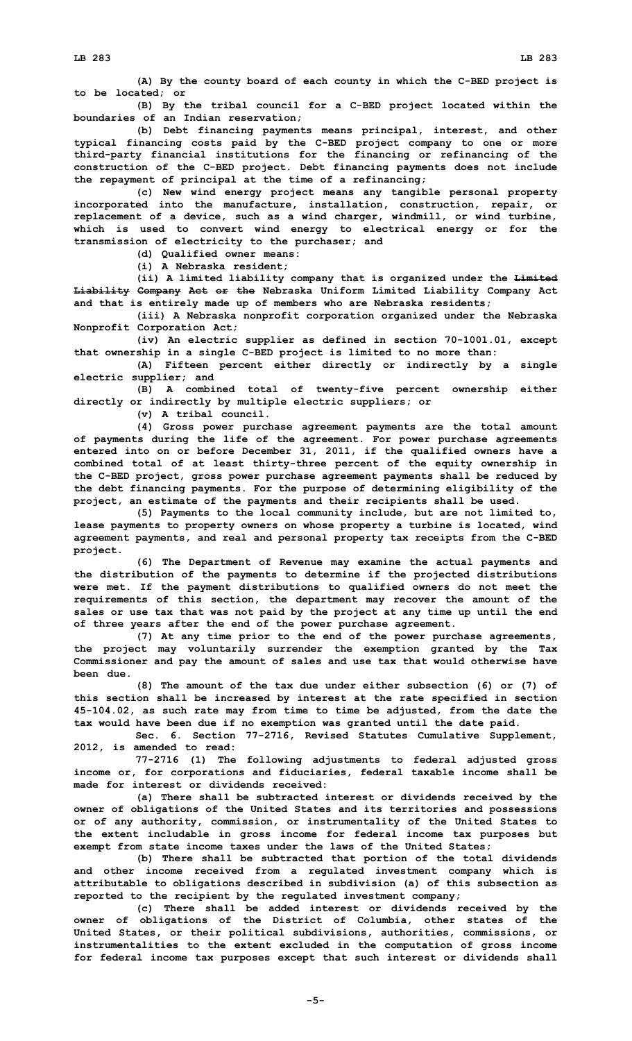**(A) By the county board of each county in which the C-BED project is to be located; or**

**(B) By the tribal council for <sup>a</sup> C-BED project located within the boundaries of an Indian reservation;**

**(b) Debt financing payments means principal, interest, and other typical financing costs paid by the C-BED project company to one or more third-party financial institutions for the financing or refinancing of the construction of the C-BED project. Debt financing payments does not include the repayment of principal at the time of <sup>a</sup> refinancing;**

**(c) New wind energy project means any tangible personal property incorporated into the manufacture, installation, construction, repair, or replacement of <sup>a</sup> device, such as <sup>a</sup> wind charger, windmill, or wind turbine, which is used to convert wind energy to electrical energy or for the transmission of electricity to the purchaser; and**

**(d) Qualified owner means:**

**(i) A Nebraska resident;**

**(ii) <sup>A</sup> limited liability company that is organized under the Limited Liability Company Act or the Nebraska Uniform Limited Liability Company Act and that is entirely made up of members who are Nebraska residents;**

**(iii) <sup>A</sup> Nebraska nonprofit corporation organized under the Nebraska Nonprofit Corporation Act;**

**(iv) An electric supplier as defined in section 70-1001.01, except that ownership in <sup>a</sup> single C-BED project is limited to no more than:**

**(A) Fifteen percent either directly or indirectly by <sup>a</sup> single electric supplier; and**

**(B) <sup>A</sup> combined total of twenty-five percent ownership either directly or indirectly by multiple electric suppliers; or**

**(v) A tribal council.**

**(4) Gross power purchase agreement payments are the total amount of payments during the life of the agreement. For power purchase agreements entered into on or before December 31, 2011, if the qualified owners have <sup>a</sup> combined total of at least thirty-three percent of the equity ownership in the C-BED project, gross power purchase agreement payments shall be reduced by the debt financing payments. For the purpose of determining eligibility of the project, an estimate of the payments and their recipients shall be used.**

**(5) Payments to the local community include, but are not limited to, lease payments to property owners on whose property <sup>a</sup> turbine is located, wind agreement payments, and real and personal property tax receipts from the C-BED project.**

**(6) The Department of Revenue may examine the actual payments and the distribution of the payments to determine if the projected distributions were met. If the payment distributions to qualified owners do not meet the requirements of this section, the department may recover the amount of the sales or use tax that was not paid by the project at any time up until the end of three years after the end of the power purchase agreement.**

**(7) At any time prior to the end of the power purchase agreements, the project may voluntarily surrender the exemption granted by the Tax Commissioner and pay the amount of sales and use tax that would otherwise have been due.**

**(8) The amount of the tax due under either subsection (6) or (7) of this section shall be increased by interest at the rate specified in section 45-104.02, as such rate may from time to time be adjusted, from the date the tax would have been due if no exemption was granted until the date paid.**

**Sec. 6. Section 77-2716, Revised Statutes Cumulative Supplement, 2012, is amended to read:**

**77-2716 (1) The following adjustments to federal adjusted gross income or, for corporations and fiduciaries, federal taxable income shall be made for interest or dividends received:**

**(a) There shall be subtracted interest or dividends received by the owner of obligations of the United States and its territories and possessions or of any authority, commission, or instrumentality of the United States to the extent includable in gross income for federal income tax purposes but exempt from state income taxes under the laws of the United States;**

**(b) There shall be subtracted that portion of the total dividends and other income received from <sup>a</sup> regulated investment company which is attributable to obligations described in subdivision (a) of this subsection as reported to the recipient by the regulated investment company;**

**(c) There shall be added interest or dividends received by the owner of obligations of the District of Columbia, other states of the United States, or their political subdivisions, authorities, commissions, or instrumentalities to the extent excluded in the computation of gross income for federal income tax purposes except that such interest or dividends shall**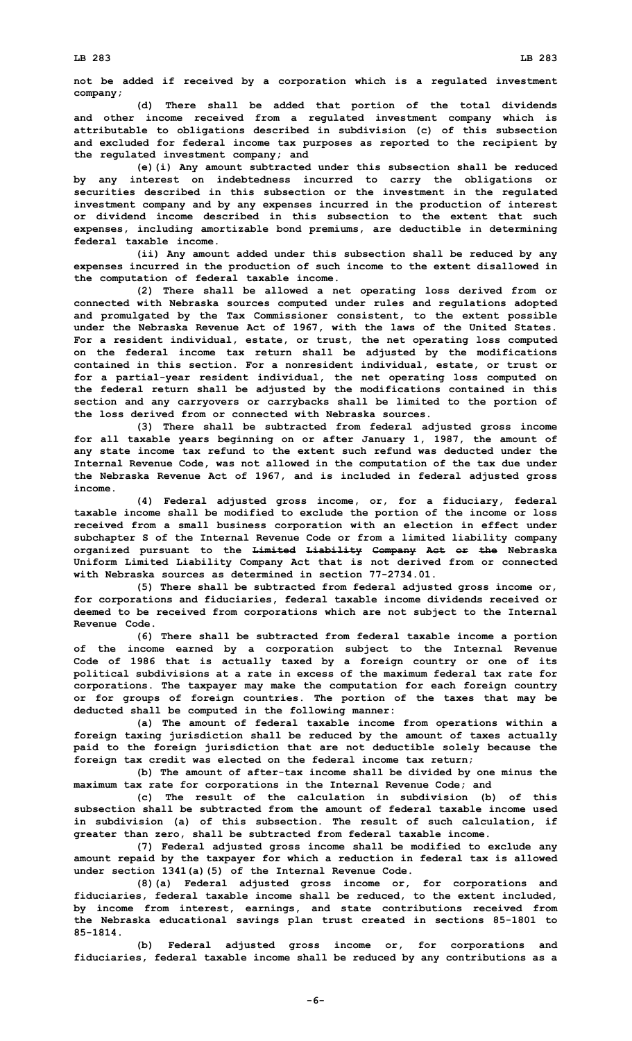**not be added if received by <sup>a</sup> corporation which is <sup>a</sup> regulated investment company;**

**(d) There shall be added that portion of the total dividends and other income received from <sup>a</sup> regulated investment company which is attributable to obligations described in subdivision (c) of this subsection and excluded for federal income tax purposes as reported to the recipient by the regulated investment company; and**

**(e)(i) Any amount subtracted under this subsection shall be reduced by any interest on indebtedness incurred to carry the obligations or securities described in this subsection or the investment in the regulated investment company and by any expenses incurred in the production of interest or dividend income described in this subsection to the extent that such expenses, including amortizable bond premiums, are deductible in determining federal taxable income.**

**(ii) Any amount added under this subsection shall be reduced by any expenses incurred in the production of such income to the extent disallowed in the computation of federal taxable income.**

**(2) There shall be allowed <sup>a</sup> net operating loss derived from or connected with Nebraska sources computed under rules and regulations adopted and promulgated by the Tax Commissioner consistent, to the extent possible under the Nebraska Revenue Act of 1967, with the laws of the United States. For <sup>a</sup> resident individual, estate, or trust, the net operating loss computed on the federal income tax return shall be adjusted by the modifications contained in this section. For <sup>a</sup> nonresident individual, estate, or trust or for <sup>a</sup> partial-year resident individual, the net operating loss computed on the federal return shall be adjusted by the modifications contained in this section and any carryovers or carrybacks shall be limited to the portion of the loss derived from or connected with Nebraska sources.**

**(3) There shall be subtracted from federal adjusted gross income for all taxable years beginning on or after January 1, 1987, the amount of any state income tax refund to the extent such refund was deducted under the Internal Revenue Code, was not allowed in the computation of the tax due under the Nebraska Revenue Act of 1967, and is included in federal adjusted gross income.**

**(4) Federal adjusted gross income, or, for <sup>a</sup> fiduciary, federal taxable income shall be modified to exclude the portion of the income or loss received from <sup>a</sup> small business corporation with an election in effect under subchapter S of the Internal Revenue Code or from <sup>a</sup> limited liability company organized pursuant to the Limited Liability Company Act or the Nebraska Uniform Limited Liability Company Act that is not derived from or connected with Nebraska sources as determined in section 77-2734.01.**

**(5) There shall be subtracted from federal adjusted gross income or, for corporations and fiduciaries, federal taxable income dividends received or deemed to be received from corporations which are not subject to the Internal Revenue Code.**

**(6) There shall be subtracted from federal taxable income <sup>a</sup> portion of the income earned by <sup>a</sup> corporation subject to the Internal Revenue Code of 1986 that is actually taxed by <sup>a</sup> foreign country or one of its political subdivisions at <sup>a</sup> rate in excess of the maximum federal tax rate for corporations. The taxpayer may make the computation for each foreign country or for groups of foreign countries. The portion of the taxes that may be deducted shall be computed in the following manner:**

**(a) The amount of federal taxable income from operations within <sup>a</sup> foreign taxing jurisdiction shall be reduced by the amount of taxes actually paid to the foreign jurisdiction that are not deductible solely because the foreign tax credit was elected on the federal income tax return;**

**(b) The amount of after-tax income shall be divided by one minus the maximum tax rate for corporations in the Internal Revenue Code; and**

**(c) The result of the calculation in subdivision (b) of this subsection shall be subtracted from the amount of federal taxable income used in subdivision (a) of this subsection. The result of such calculation, if greater than zero, shall be subtracted from federal taxable income.**

**(7) Federal adjusted gross income shall be modified to exclude any amount repaid by the taxpayer for which <sup>a</sup> reduction in federal tax is allowed under section 1341(a)(5) of the Internal Revenue Code.**

**(8)(a) Federal adjusted gross income or, for corporations and fiduciaries, federal taxable income shall be reduced, to the extent included, by income from interest, earnings, and state contributions received from the Nebraska educational savings plan trust created in sections 85-1801 to 85-1814.**

**(b) Federal adjusted gross income or, for corporations and fiduciaries, federal taxable income shall be reduced by any contributions as <sup>a</sup>**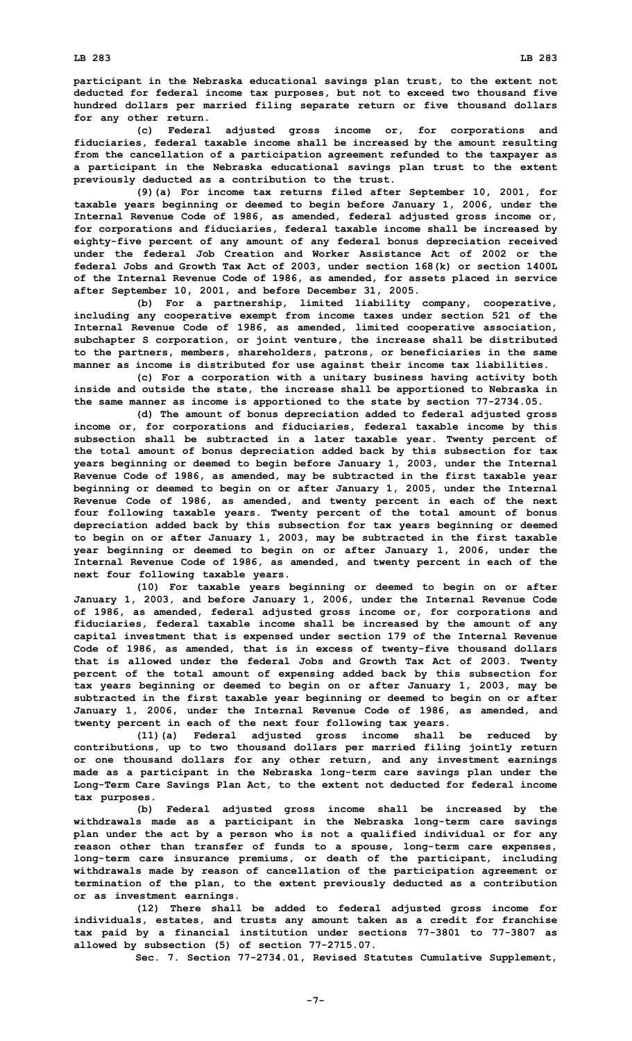**participant in the Nebraska educational savings plan trust, to the extent not deducted for federal income tax purposes, but not to exceed two thousand five hundred dollars per married filing separate return or five thousand dollars for any other return.**

**(c) Federal adjusted gross income or, for corporations and fiduciaries, federal taxable income shall be increased by the amount resulting from the cancellation of <sup>a</sup> participation agreement refunded to the taxpayer as <sup>a</sup> participant in the Nebraska educational savings plan trust to the extent previously deducted as <sup>a</sup> contribution to the trust.**

**(9)(a) For income tax returns filed after September 10, 2001, for taxable years beginning or deemed to begin before January 1, 2006, under the Internal Revenue Code of 1986, as amended, federal adjusted gross income or, for corporations and fiduciaries, federal taxable income shall be increased by eighty-five percent of any amount of any federal bonus depreciation received under the federal Job Creation and Worker Assistance Act of 2002 or the federal Jobs and Growth Tax Act of 2003, under section 168(k) or section 1400L of the Internal Revenue Code of 1986, as amended, for assets placed in service after September 10, 2001, and before December 31, 2005.**

**(b) For <sup>a</sup> partnership, limited liability company, cooperative, including any cooperative exempt from income taxes under section 521 of the Internal Revenue Code of 1986, as amended, limited cooperative association, subchapter S corporation, or joint venture, the increase shall be distributed to the partners, members, shareholders, patrons, or beneficiaries in the same manner as income is distributed for use against their income tax liabilities.**

**(c) For <sup>a</sup> corporation with <sup>a</sup> unitary business having activity both inside and outside the state, the increase shall be apportioned to Nebraska in the same manner as income is apportioned to the state by section 77-2734.05.**

**(d) The amount of bonus depreciation added to federal adjusted gross income or, for corporations and fiduciaries, federal taxable income by this subsection shall be subtracted in <sup>a</sup> later taxable year. Twenty percent of the total amount of bonus depreciation added back by this subsection for tax years beginning or deemed to begin before January 1, 2003, under the Internal Revenue Code of 1986, as amended, may be subtracted in the first taxable year beginning or deemed to begin on or after January 1, 2005, under the Internal Revenue Code of 1986, as amended, and twenty percent in each of the next four following taxable years. Twenty percent of the total amount of bonus depreciation added back by this subsection for tax years beginning or deemed to begin on or after January 1, 2003, may be subtracted in the first taxable year beginning or deemed to begin on or after January 1, 2006, under the Internal Revenue Code of 1986, as amended, and twenty percent in each of the next four following taxable years.**

**(10) For taxable years beginning or deemed to begin on or after January 1, 2003, and before January 1, 2006, under the Internal Revenue Code of 1986, as amended, federal adjusted gross income or, for corporations and fiduciaries, federal taxable income shall be increased by the amount of any capital investment that is expensed under section 179 of the Internal Revenue Code of 1986, as amended, that is in excess of twenty-five thousand dollars that is allowed under the federal Jobs and Growth Tax Act of 2003. Twenty percent of the total amount of expensing added back by this subsection for tax years beginning or deemed to begin on or after January 1, 2003, may be subtracted in the first taxable year beginning or deemed to begin on or after January 1, 2006, under the Internal Revenue Code of 1986, as amended, and twenty percent in each of the next four following tax years.**

**(11)(a) Federal adjusted gross income shall be reduced by contributions, up to two thousand dollars per married filing jointly return or one thousand dollars for any other return, and any investment earnings made as <sup>a</sup> participant in the Nebraska long-term care savings plan under the Long-Term Care Savings Plan Act, to the extent not deducted for federal income tax purposes.**

**(b) Federal adjusted gross income shall be increased by the withdrawals made as <sup>a</sup> participant in the Nebraska long-term care savings plan under the act by <sup>a</sup> person who is not <sup>a</sup> qualified individual or for any reason other than transfer of funds to <sup>a</sup> spouse, long-term care expenses, long-term care insurance premiums, or death of the participant, including withdrawals made by reason of cancellation of the participation agreement or termination of the plan, to the extent previously deducted as <sup>a</sup> contribution or as investment earnings.**

**(12) There shall be added to federal adjusted gross income for individuals, estates, and trusts any amount taken as <sup>a</sup> credit for franchise tax paid by <sup>a</sup> financial institution under sections 77-3801 to 77-3807 as allowed by subsection (5) of section 77-2715.07.**

**Sec. 7. Section 77-2734.01, Revised Statutes Cumulative Supplement,**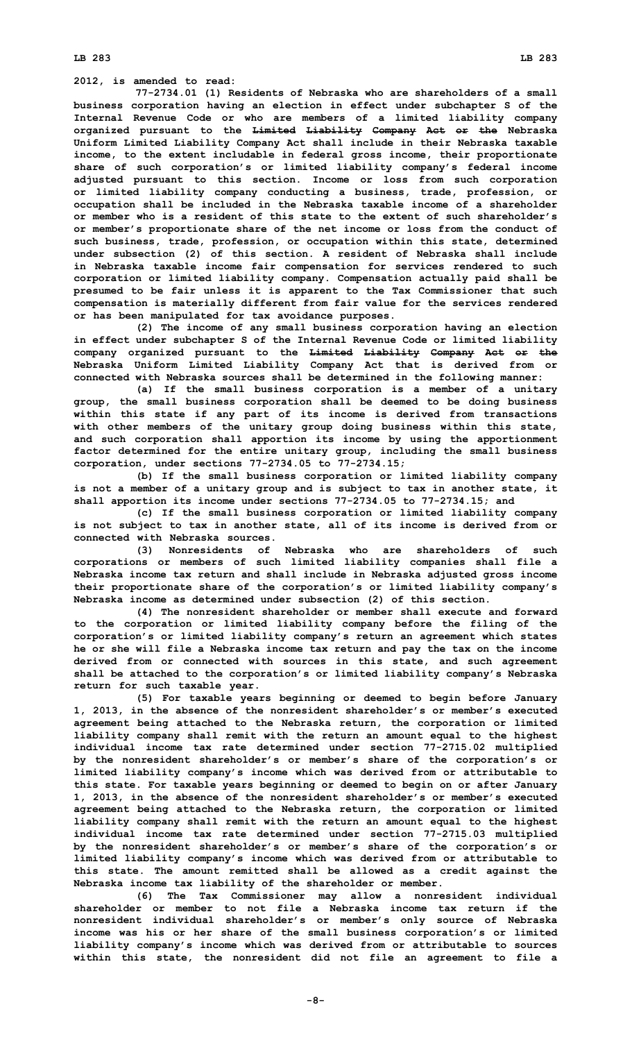**LB 283 LB 283**

**2012, is amended to read:**

**77-2734.01 (1) Residents of Nebraska who are shareholders of <sup>a</sup> small business corporation having an election in effect under subchapter S of the Internal Revenue Code or who are members of <sup>a</sup> limited liability company organized pursuant to the Limited Liability Company Act or the Nebraska Uniform Limited Liability Company Act shall include in their Nebraska taxable income, to the extent includable in federal gross income, their proportionate share of such corporation's or limited liability company's federal income adjusted pursuant to this section. Income or loss from such corporation or limited liability company conducting <sup>a</sup> business, trade, profession, or occupation shall be included in the Nebraska taxable income of <sup>a</sup> shareholder or member who is a resident of this state to the extent of such shareholder's or member's proportionate share of the net income or loss from the conduct of such business, trade, profession, or occupation within this state, determined under subsection (2) of this section. A resident of Nebraska shall include in Nebraska taxable income fair compensation for services rendered to such corporation or limited liability company. Compensation actually paid shall be presumed to be fair unless it is apparent to the Tax Commissioner that such compensation is materially different from fair value for the services rendered or has been manipulated for tax avoidance purposes.**

**(2) The income of any small business corporation having an election in effect under subchapter S of the Internal Revenue Code or limited liability company organized pursuant to the Limited Liability Company Act or the Nebraska Uniform Limited Liability Company Act that is derived from or connected with Nebraska sources shall be determined in the following manner:**

**(a) If the small business corporation is <sup>a</sup> member of <sup>a</sup> unitary group, the small business corporation shall be deemed to be doing business within this state if any part of its income is derived from transactions with other members of the unitary group doing business within this state, and such corporation shall apportion its income by using the apportionment factor determined for the entire unitary group, including the small business corporation, under sections 77-2734.05 to 77-2734.15;**

**(b) If the small business corporation or limited liability company is not <sup>a</sup> member of <sup>a</sup> unitary group and is subject to tax in another state, it shall apportion its income under sections 77-2734.05 to 77-2734.15; and**

**(c) If the small business corporation or limited liability company is not subject to tax in another state, all of its income is derived from or connected with Nebraska sources.**

**(3) Nonresidents of Nebraska who are shareholders of such corporations or members of such limited liability companies shall file <sup>a</sup> Nebraska income tax return and shall include in Nebraska adjusted gross income their proportionate share of the corporation's or limited liability company's Nebraska income as determined under subsection (2) of this section.**

**(4) The nonresident shareholder or member shall execute and forward to the corporation or limited liability company before the filing of the corporation's or limited liability company's return an agreement which states he or she will file <sup>a</sup> Nebraska income tax return and pay the tax on the income derived from or connected with sources in this state, and such agreement shall be attached to the corporation's or limited liability company's Nebraska return for such taxable year.**

**(5) For taxable years beginning or deemed to begin before January 1, 2013, in the absence of the nonresident shareholder's or member's executed agreement being attached to the Nebraska return, the corporation or limited liability company shall remit with the return an amount equal to the highest individual income tax rate determined under section 77-2715.02 multiplied by the nonresident shareholder's or member's share of the corporation's or limited liability company's income which was derived from or attributable to this state. For taxable years beginning or deemed to begin on or after January 1, 2013, in the absence of the nonresident shareholder's or member's executed agreement being attached to the Nebraska return, the corporation or limited liability company shall remit with the return an amount equal to the highest individual income tax rate determined under section 77-2715.03 multiplied by the nonresident shareholder's or member's share of the corporation's or limited liability company's income which was derived from or attributable to this state. The amount remitted shall be allowed as <sup>a</sup> credit against the Nebraska income tax liability of the shareholder or member.**

**(6) The Tax Commissioner may allow <sup>a</sup> nonresident individual shareholder or member to not file a Nebraska income tax return if the nonresident individual shareholder's or member's only source of Nebraska income was his or her share of the small business corporation's or limited liability company's income which was derived from or attributable to sources within this state, the nonresident did not file an agreement to file <sup>a</sup>**